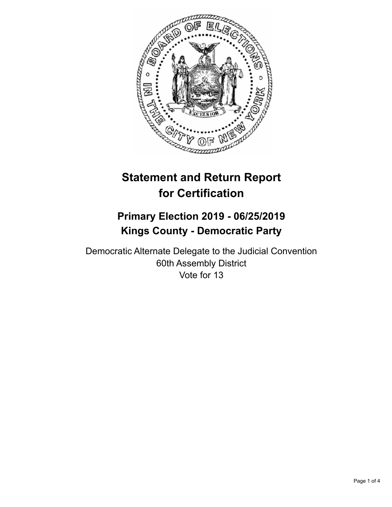

# **Statement and Return Report for Certification**

## **Primary Election 2019 - 06/25/2019 Kings County - Democratic Party**

Democratic Alternate Delegate to the Judicial Convention 60th Assembly District Vote for 13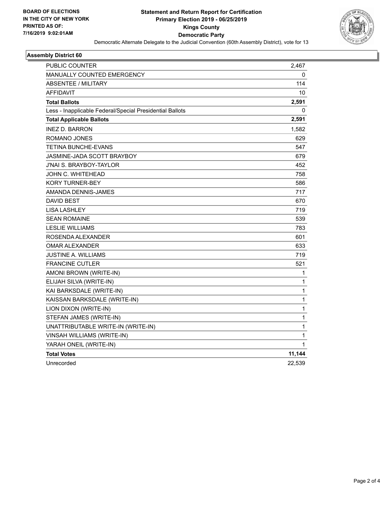

#### **Assembly District 60**

| <b>PUBLIC COUNTER</b>                                    | 2,467        |
|----------------------------------------------------------|--------------|
| <b>MANUALLY COUNTED EMERGENCY</b>                        | 0            |
| <b>ABSENTEE / MILITARY</b>                               | 114          |
| <b>AFFIDAVIT</b>                                         | 10           |
| <b>Total Ballots</b>                                     | 2,591        |
| Less - Inapplicable Federal/Special Presidential Ballots | 0            |
| <b>Total Applicable Ballots</b>                          | 2,591        |
| <b>INEZ D. BARRON</b>                                    | 1.582        |
| ROMANO JONES                                             | 629          |
| <b>TETINA BUNCHE-EVANS</b>                               | 547          |
| JASMINE-JADA SCOTT BRAYBOY                               | 679          |
| J'NAI S. BRAYBOY-TAYLOR                                  | 452          |
| JOHN C. WHITEHEAD                                        | 758          |
| <b>KORY TURNER-BEY</b>                                   | 586          |
| AMANDA DENNIS-JAMES                                      | 717          |
| <b>DAVID BEST</b>                                        | 670          |
| <b>LISA LASHLEY</b>                                      | 719          |
| <b>SEAN ROMAINE</b>                                      | 539          |
| <b>LESLIE WILLIAMS</b>                                   | 783          |
| ROSENDA ALEXANDER                                        | 601          |
| <b>OMAR ALEXANDER</b>                                    | 633          |
| JUSTINE A. WILLIAMS                                      | 719          |
| <b>FRANCINE CUTLER</b>                                   | 521          |
| AMONI BROWN (WRITE-IN)                                   | 1            |
| ELIJAH SILVA (WRITE-IN)                                  | 1            |
| KAI BARKSDALE (WRITE-IN)                                 | $\mathbf{1}$ |
| KAISSAN BARKSDALE (WRITE-IN)                             | 1            |
| LION DIXON (WRITE-IN)                                    | 1            |
| STEFAN JAMES (WRITE-IN)                                  | 1            |
| UNATTRIBUTABLE WRITE-IN (WRITE-IN)                       | 1            |
| VINSAH WILLIAMS (WRITE-IN)                               | 1            |
| YARAH ONEIL (WRITE-IN)                                   | 1            |
| <b>Total Votes</b>                                       | 11,144       |
| Unrecorded                                               | 22,539       |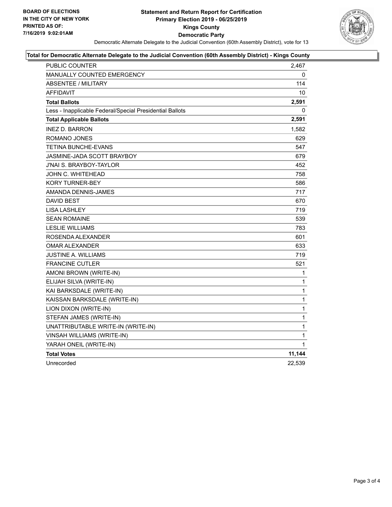

#### **Total for Democratic Alternate Delegate to the Judicial Convention (60th Assembly District) - Kings County**

| <b>PUBLIC COUNTER</b>                                    | 2,467        |
|----------------------------------------------------------|--------------|
| MANUALLY COUNTED EMERGENCY                               | 0            |
| <b>ABSENTEE / MILITARY</b>                               | 114          |
| <b>AFFIDAVIT</b>                                         | 10           |
| <b>Total Ballots</b>                                     | 2,591        |
| Less - Inapplicable Federal/Special Presidential Ballots | 0            |
| <b>Total Applicable Ballots</b>                          | 2,591        |
| <b>INEZ D. BARRON</b>                                    | 1,582        |
| ROMANO JONES                                             | 629          |
| TETINA BUNCHE-EVANS                                      | 547          |
| JASMINE-JADA SCOTT BRAYBOY                               | 679          |
| <b>J'NAI S. BRAYBOY-TAYLOR</b>                           | 452          |
| JOHN C. WHITEHEAD                                        | 758          |
| <b>KORY TURNER-BEY</b>                                   | 586          |
| AMANDA DENNIS-JAMES                                      | 717          |
| DAVID BEST                                               | 670          |
| <b>LISA LASHLEY</b>                                      | 719          |
| <b>SEAN ROMAINE</b>                                      | 539          |
| <b>LESLIE WILLIAMS</b>                                   | 783          |
| ROSENDA ALEXANDER                                        | 601          |
| <b>OMAR ALEXANDER</b>                                    | 633          |
| JUSTINE A. WILLIAMS                                      | 719          |
| <b>FRANCINE CUTLER</b>                                   | 521          |
| AMONI BROWN (WRITE-IN)                                   | 1            |
| ELIJAH SILVA (WRITE-IN)                                  | 1            |
| KAI BARKSDALE (WRITE-IN)                                 | $\mathbf{1}$ |
| KAISSAN BARKSDALE (WRITE-IN)                             | 1            |
| LION DIXON (WRITE-IN)                                    | 1            |
| STEFAN JAMES (WRITE-IN)                                  | $\mathbf{1}$ |
| UNATTRIBUTABLE WRITE-IN (WRITE-IN)                       | 1            |
| VINSAH WILLIAMS (WRITE-IN)                               | 1            |
| YARAH ONEIL (WRITE-IN)                                   | 1            |
| <b>Total Votes</b>                                       | 11,144       |
| Unrecorded                                               | 22,539       |